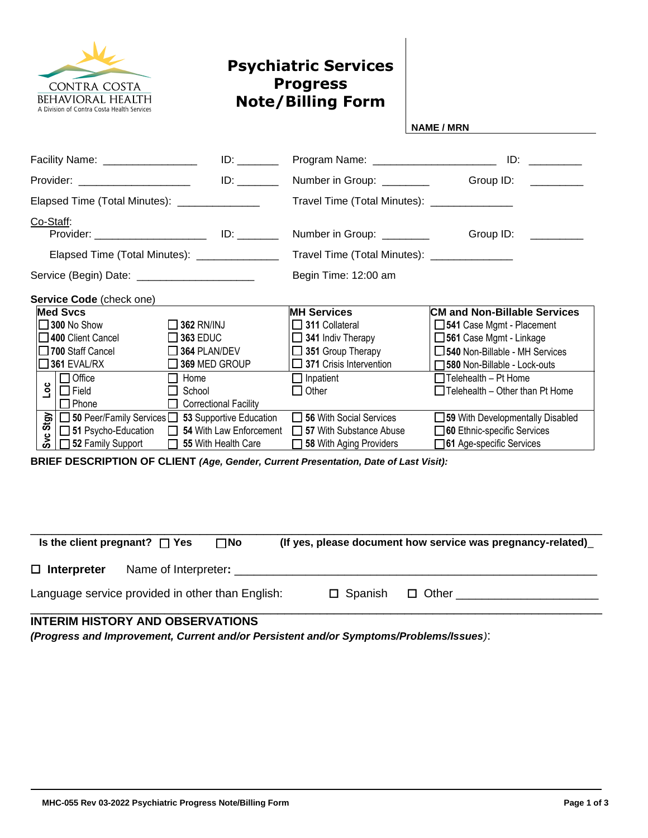

## **Psychiatric Services Progress Note/Billing Form**

**NAME / MRN**

|                                                |                                            | Facility Name: __________________              |  |                                                                                                                                                        | Program Name: ___________________________                                 |                                          |  |  |
|------------------------------------------------|--------------------------------------------|------------------------------------------------|--|--------------------------------------------------------------------------------------------------------------------------------------------------------|---------------------------------------------------------------------------|------------------------------------------|--|--|
|                                                |                                            | Provider: _______________________              |  |                                                                                                                                                        | Number in Group: ________                                                 | Group ID:<br>and the control of the con- |  |  |
|                                                |                                            | Elapsed Time (Total Minutes): ________________ |  |                                                                                                                                                        | Travel Time (Total Minutes): _______________                              |                                          |  |  |
| Co-Staff:                                      |                                            |                                                |  | Number in Group: ________                                                                                                                              | Group ID:                                                                 |                                          |  |  |
| Elapsed Time (Total Minutes): _______________  |                                            |                                                |  |                                                                                                                                                        | Travel Time (Total Minutes): _______________                              |                                          |  |  |
| Service (Begin) Date: ________________________ |                                            |                                                |  |                                                                                                                                                        | Begin Time: 12:00 am                                                      |                                          |  |  |
|                                                |                                            | <b>Service Code</b> (check one)                |  |                                                                                                                                                        |                                                                           |                                          |  |  |
| <b>Med Svcs</b>                                |                                            |                                                |  | <b>MH Services</b>                                                                                                                                     | <b>CM and Non-Billable Services</b>                                       |                                          |  |  |
|                                                | $\square$ 300 No Show<br>$\Box$ 362 RN/INJ |                                                |  | $\Box$ 311 Collateral                                                                                                                                  | 541 Case Mgmt - Placement                                                 |                                          |  |  |
|                                                |                                            | 400 Client Cancel                              |  | $\Box$ 363 EDUC                                                                                                                                        | $\Box$ 341 Indiv Therapy                                                  | □ 561 Case Mgmt - Linkage                |  |  |
|                                                |                                            | $\Box$ 700 Staff Cancel                        |  | $\Box$ 364 PLAN/DEV                                                                                                                                    | $\Box$ 351 Group Therapy                                                  | 540 Non-Billable - MH Services           |  |  |
|                                                |                                            | $\square$ 361 EVAL/RX                          |  | 369 MED GROUP                                                                                                                                          | $\Box$ 371 Crisis Intervention                                            | 580 Non-Billable - Lock-outs             |  |  |
|                                                | ەما                                        | $\Box$ Office                                  |  | $\Box$ Home                                                                                                                                            | $\Box$ Inpatient                                                          | $\Box$ Telehealth - Pt Home              |  |  |
|                                                |                                            | $\Box$ Field                                   |  | School                                                                                                                                                 | $\Box$ Other                                                              | $\Box$ Telehealth – Other than Pt Home   |  |  |
|                                                |                                            | $\Box$ Phone                                   |  | <b>Correctional Facility</b>                                                                                                                           |                                                                           |                                          |  |  |
|                                                |                                            |                                                |  |                                                                                                                                                        | 56 With Social Services                                                   | 59 With Developmentally Disabled         |  |  |
|                                                |                                            |                                                |  | 5   50 Peer/Family Services   53 Supportive Education<br>51 Psycho-Education   54 With Law Enforcement<br>52   52 Family Support   55 With Health Care | □ 51 Psycho-Education □ 54 With Law Enforcement □ 57 With Substance Abuse | 60 Ethnic-specific Services              |  |  |
|                                                |                                            |                                                |  |                                                                                                                                                        | 58 With Aging Providers                                                   | 61 Age-specific Services                 |  |  |

**BRIEF DESCRIPTION OF CLIENT** *(Age, Gender, Current Presentation, Date of Last Visit):*

| Is the client pregnant? $\Box$ Yes               |                      | $\square$ No |                   | (If yes, please document how service was pregnancy-related) |
|--------------------------------------------------|----------------------|--------------|-------------------|-------------------------------------------------------------|
| $\Box$ Interpreter                               | Name of Interpreter: |              |                   |                                                             |
| Language service provided in other than English: |                      |              | $\square$ Spanish | $\Box$ Other                                                |

## **INTERIM HISTORY AND OBSERVATIONS**

*(Progress and Improvement, Current and/or Persistent and/or Symptoms/Problems/Issues)*: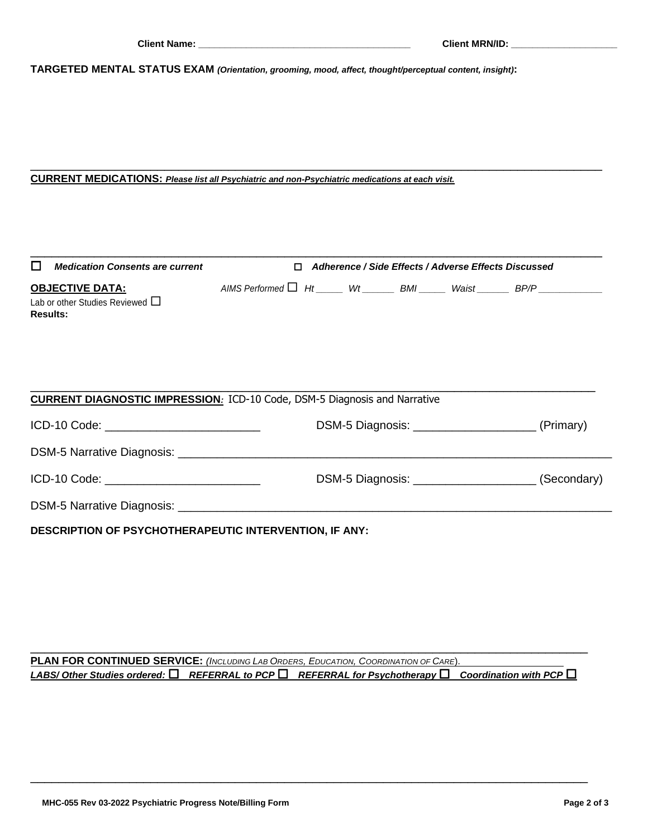**TARGETED MENTAL STATUS EXAM** *(Orientation, grooming, mood, affect, thought/perceptual content, insight)***:**

## **CURRENT MEDICATIONS:** *Please list all Psychiatric and non-Psychiatric medications at each visit.*

| $\Box$<br><b>Medication Consents are current</b>                                 | □ Adherence / Side Effects / Adverse Effects Discussed |  |                                                                                   |
|----------------------------------------------------------------------------------|--------------------------------------------------------|--|-----------------------------------------------------------------------------------|
| <u>OBJECTIVE DATA:</u>                                                           |                                                        |  | AIMS Performed $\Box$ Ht _____ Wt ______ BMI _____ Waist ______ BP/P ____________ |
| Lab or other Studies Reviewed $\Box$<br><b>Results:</b>                          |                                                        |  |                                                                                   |
|                                                                                  |                                                        |  |                                                                                   |
| <b>CURRENT DIAGNOSTIC IMPRESSION:</b> ICD-10 Code, DSM-5 Diagnosis and Narrative |                                                        |  |                                                                                   |
|                                                                                  |                                                        |  |                                                                                   |
|                                                                                  |                                                        |  |                                                                                   |
| ICD-10 Code: ____________________________                                        |                                                        |  | DSM-5 Diagnosis: ____________________________ (Secondary)                         |
|                                                                                  |                                                        |  |                                                                                   |
| <b>DESCRIPTION OF PSYCHOTHERAPEUTIC INTERVENTION, IF ANY:</b>                    |                                                        |  |                                                                                   |

\_\_\_\_\_\_\_\_\_\_\_\_\_\_\_\_\_\_\_\_\_\_\_\_\_\_\_\_\_\_\_\_\_\_\_\_\_\_\_\_\_\_\_\_\_\_\_\_\_\_\_\_\_\_\_\_\_\_\_\_\_\_\_\_\_\_\_\_\_\_\_\_\_\_\_\_\_\_\_\_\_

**PLAN FOR CONTINUED SERVICE:** *(INCLUDING LAB ORDERS, EDUCATION, COORDINATION OF CARE*). *LABS/ Other Studies ordered:* *REFERRAL to PCP* *REFERRAL for Psychotherapy* *Coordination with PCP* 

\_\_\_\_\_\_\_\_\_\_\_\_\_\_\_\_\_\_\_\_\_\_\_\_\_\_\_\_\_\_\_\_\_\_\_\_\_\_\_\_\_\_\_\_\_\_\_\_\_\_\_\_\_\_\_\_\_\_\_\_\_\_\_\_\_\_\_\_\_\_\_\_\_\_\_\_\_\_\_

\_\_\_\_\_\_\_\_\_\_\_\_\_\_\_\_\_\_\_\_\_\_\_\_\_\_\_\_\_\_\_\_\_\_\_\_\_\_\_\_\_\_\_\_\_\_\_\_\_\_\_\_\_\_\_\_\_\_\_\_\_\_\_\_\_\_\_\_\_\_\_\_\_\_\_\_\_\_\_